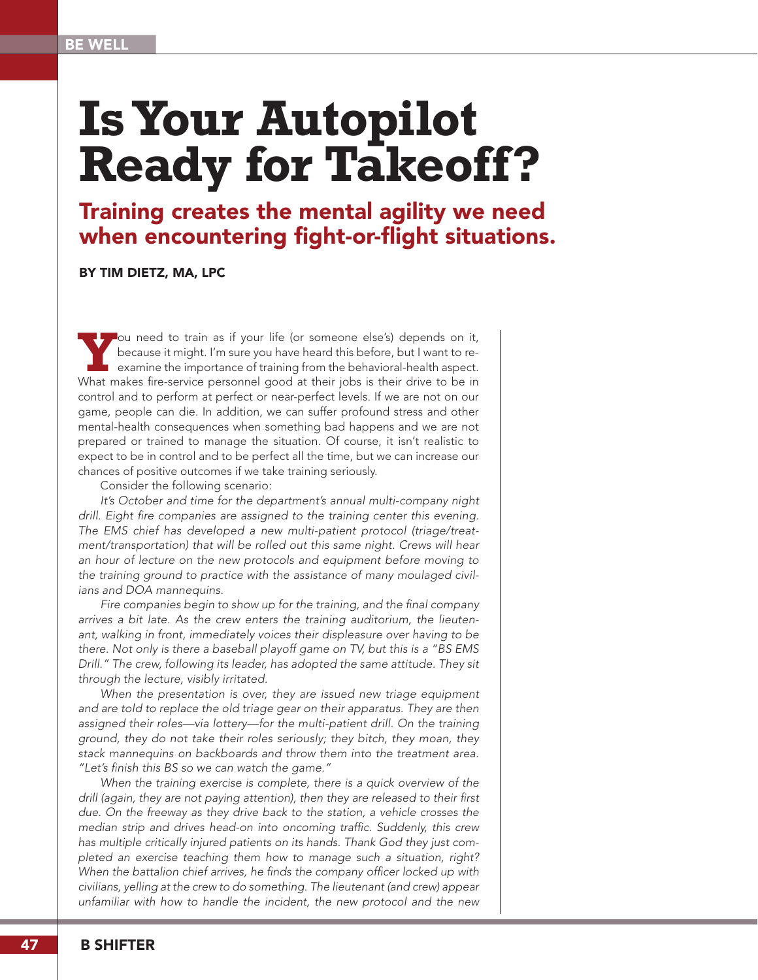## **Is Your Autopilot Ready for Takeoff?**

## Training creates the mental agility we need when encountering fight-or-flight situations.

BY TIM DIETZ, MA, LPC

Fou need to train as if your life (or someone else's) depends on it, because it might. I'm sure you have heard this before, but I want to re-<br>examine the importance of training from the behavioral-health aspect. because it might. I'm sure you have heard this before, but I want to re-What makes fire-service personnel good at their jobs is their drive to be in control and to perform at perfect or near-perfect levels. If we are not on our game, people can die. In addition, we can suffer profound stress and other mental-health consequences when something bad happens and we are not prepared or trained to manage the situation. Of course, it isn't realistic to expect to be in control and to be perfect all the time, but we can increase our chances of positive outcomes if we take training seriously.

Consider the following scenario:

*It's October and time for the department's annual multi-company night*  drill. Eight fire companies are assigned to the training center this evening. *The EMS chief has developed a new multi-patient protocol (triage/treat*ment/transportation) that will be rolled out this same night. Crews will hear *an hour of lecture on the new protocols and equipment before moving to the training ground to practice with the assistance of many moulaged civilians and DOA mannequins.*

*Fire companies begin to show up for the training, and the final company arrives a bit late. As the crew enters the training auditorium, the lieuten*ant, walking in front, immediately voices their displeasure over having to be *there. Not only is there a baseball playoff game on TV, but this is a "BS EMS Drill." The crew, following its leader, has adopted the same attitude. They sit through the lecture, visibly irritated.* 

*When the presentation is over, they are issued new triage equipment*  and are told to replace the old triage gear on their apparatus. They are then *assigned their roles—via lottery—for the multi-patient drill. On the training ground, they do not take their roles seriously; they bitch, they moan, they stack mannequins on backboards and throw them into the treatment area. "Let's finish this BS so we can watch the game."* 

When the training exercise is complete, there is a quick overview of the *drill (again, they are not paying attention), then they are released to their first due. On the freeway as they drive back to the station, a vehicle crosses the median strip and drives head-on into oncoming traffic. Suddenly, this crew has multiple critically injured patients on its hands. Thank God they just completed an exercise teaching them how to manage such a situation, right? When the battalion chief arrives, he finds the company officer locked up with civilians, yelling at the crew to do something. The lieutenant (and crew) appear unfamiliar with how to handle the incident, the new protocol and the new*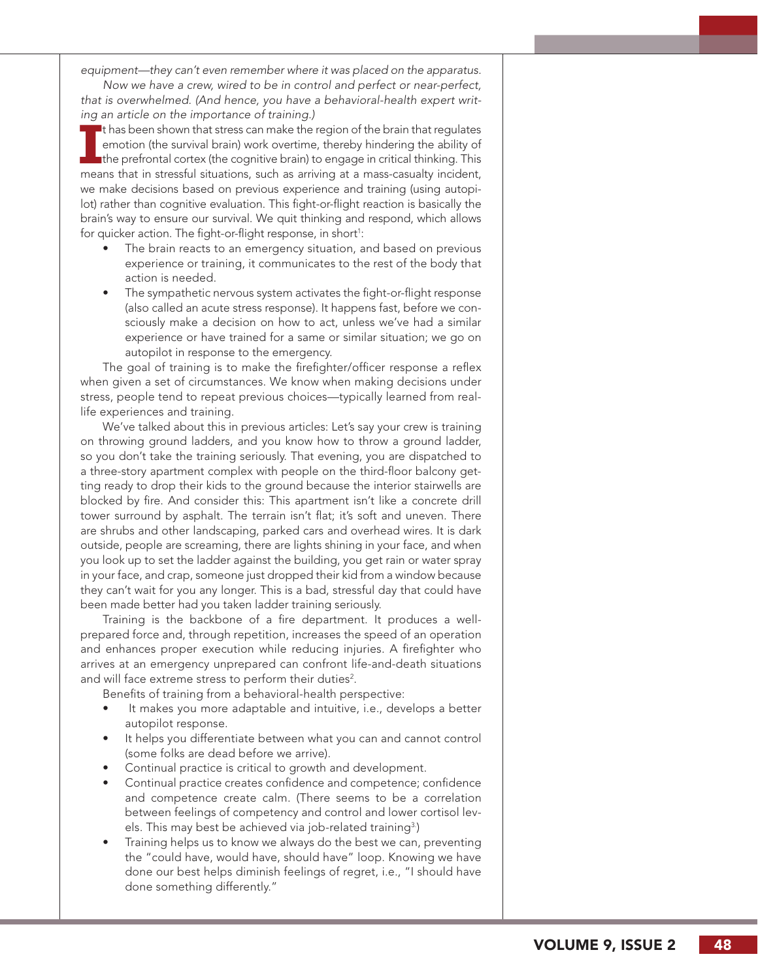*equipment—they can't even remember where it was placed on the apparatus.* 

*Now we have a crew, wired to be in control and perfect or near-perfect, that is overwhelmed. (And hence, you have a behavioral-health expert writ ing an article on the importance of training.)*

In that sheen shown that stress can make the region of the brain that regulates emotion (the survival brain) work overtime, thereby hindering the ability of the prefrontal cortex (the cognitive brain) to engage in critical <sup>t</sup> thas been shown that stress can make the region of the brain that regulates emotion (the survival brain) work overtime, thereby hindering the ability of the prefrontal cortex (the cognitive brain) to engage in critical thinking. This we make decisions based on previous experience and training (using autopi lot) rather than cognitive evaluation. This fight-or-flight reaction is basically the brain's way to ensure our survival. We quit thinking and respond, which allows for quicker action. The fight-or-flight response, in short<sup>1</sup>:

- The brain reacts to an emergency situation, and based on previous experience or training, it communicates to the rest of the body that action is needed.
- The sympathetic nervous system activates the fight-or-flight response (also called an acute stress response). It happens fast, before we con sciously make a decision on how to act, unless we've had a similar experience or have trained for a same or similar situation; we go on autopilot in response to the emergency.

The goal of training is to make the firefighter/officer response a reflex when given a set of circumstances. We know when making decisions under stress, people tend to repeat previous choices—typically learned from reallife experiences and training.

We've talked about this in previous articles: Let's say your crew is training on throwing ground ladders, and you know how to throw a ground ladder, so you don't take the training seriously. That evening, you are dispatched to a three-story apartment complex with people on the third-floor balcony get ting ready to drop their kids to the ground because the interior stairwells are blocked by fire. And consider this: This apartment isn't like a concrete drill tower surround by asphalt. The terrain isn't flat; it's soft and uneven. There are shrubs and other landscaping, parked cars and overhead wires. It is dark outside, people are screaming, there are lights shining in your face, and when you look up to set the ladder against the building, you get rain or water spray in your face, and crap, someone just dropped their kid from a window because they can't wait for you any longer. This is a bad, stressful day that could have been made better had you taken ladder training seriously.

Training is the backbone of a fire department. It produces a wellprepared force and, through repetition, increases the speed of an operation and enhances proper execution while reducing injuries. A firefighter who arrives at an emergency unprepared can confront life-and-death situations and will face extreme stress to perform their duties<sup>2</sup>.

Benefits of training from a behavioral-health perspective:

- It makes you more adaptable and intuitive, i.e., develops a better autopilot response.
- It helps you differentiate between what you can and cannot control (some folks are dead before we arrive).
- Continual practice is critical to growth and development.
- Continual practice creates confidence and competence; confidence and competence create calm. (There seems to be a correlation between feelings of competency and control and lower cortisol lev els. This may best be achieved via job-related training<sup>3</sup>)
- Training helps us to know we always do the best we can, preventing the "could have, would have, should have" loop. Knowing we have done our best helps diminish feelings of regret, i.e., "I should have done something differently."